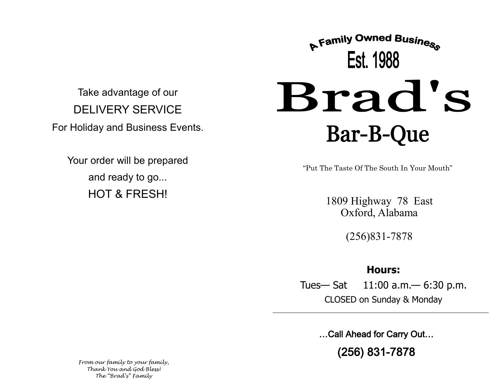Take advantage of our DELIVERY SERVICE For Holiday and Business Events.

Your order will be prepared and ready to go... HOT & FRESH!

# **A Family Owned Business** Est. 1988 Brad's **Bar-B-Que**

"Put The Taste Of The South In Your Mouth"

1809 Highway 78 East Oxford, Alabama

(256)831-7878

### **Hours:**

Tues— Sat 11:00 a.m.— 6:30 p.m. CLOSED on Sunday & Monday

…Call Ahead for Carry Out…

(256) 831-7878

*From our family to your family, Thank You and God Bless! The "Brad's" Family*